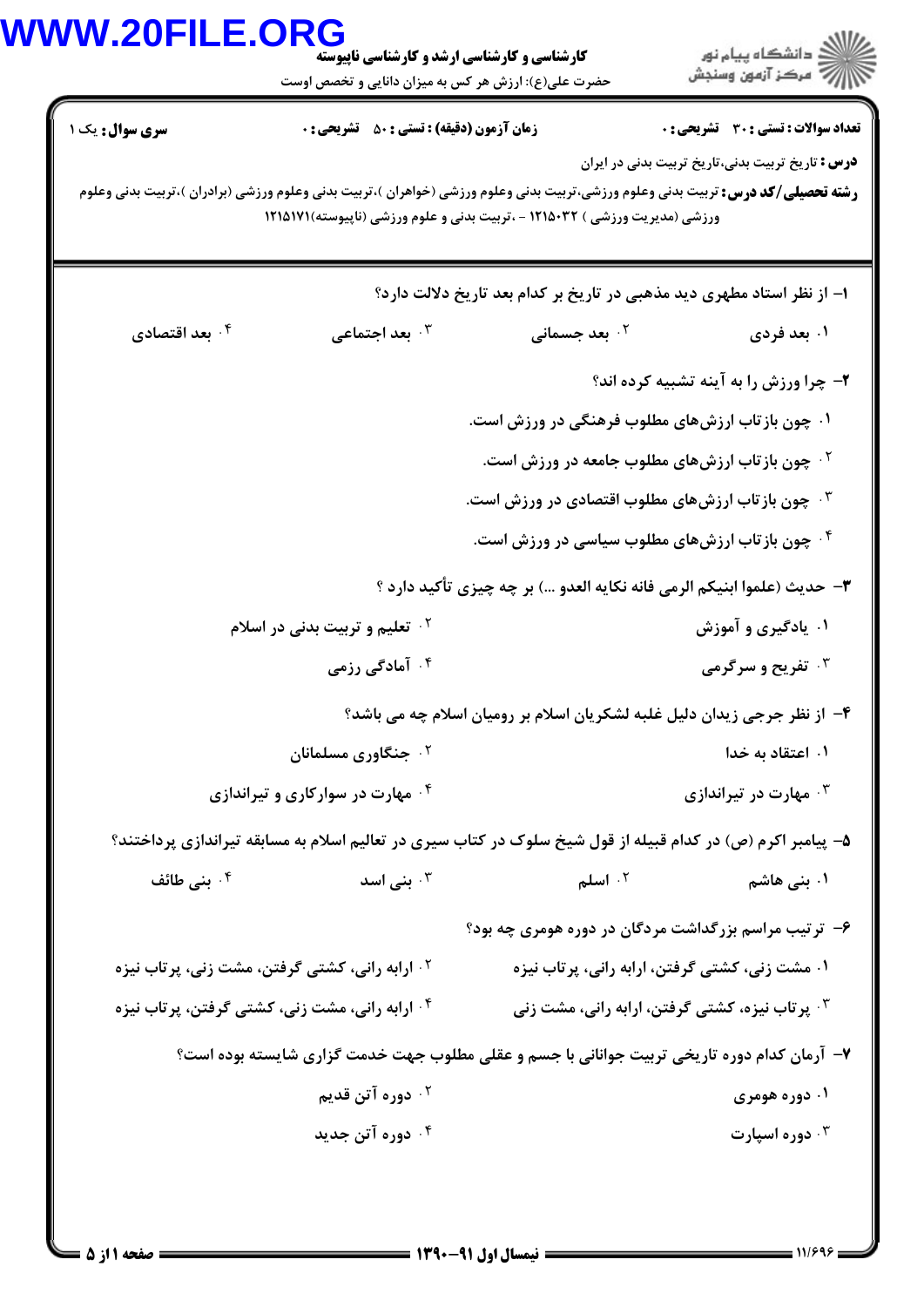### **WW**

| <b>W.20FILE.ORG</b>                          | <b>کارشناسی و کارشناسی ارشد و کارشناسی ناپیوسته</b><br>حضرت علی(ع): ارزش هر کس به میزان دانایی و تخصص اوست                                                                                                           |                                                                          | ڪ دانشڪاه پيام نور<br>//> مرڪز آزمون وسنڊش                  |
|----------------------------------------------|----------------------------------------------------------------------------------------------------------------------------------------------------------------------------------------------------------------------|--------------------------------------------------------------------------|-------------------------------------------------------------|
| <b>سری سوال :</b> یک ۱                       | <b>زمان آزمون (دقیقه) : تستی : 50 ٪ تشریحی : 0</b>                                                                                                                                                                   |                                                                          | <b>تعداد سوالات : تستی : 30 ٪ تشریحی : 0</b>                |
|                                              | <b>رشته تحصیلی/کد درس:</b> تربیت بدنی وعلوم ورزشی،تربیت بدنی وعلوم ورزشی (خواهران )،تربیت بدنی وعلوم ورزشی (برادران )،تربیت بدنی وعلوم<br>ورزشی (مدیریت ورزشی ) ۱۲۱۵۰۳۲ - ،تربیت بدنی و علوم ورزشی (ناپیوسته)۱۲۱۵۱۷۱ |                                                                          | <b>درس :</b> تاریخ تربیت بدنی،تاریخ تربیت بدنی در ایران     |
|                                              |                                                                                                                                                                                                                      | ۱– از نظر استاد مطهری دید مذهبی در تاریخ بر کدام بعد تاریخ دلالت دارد؟   |                                                             |
| ۰۴ بعد اقتصادی                               | ۰۳ بعد اجتماعی                                                                                                                                                                                                       | ۰۲ بعد جسمانی                                                            | ۰۱ بعد فردی                                                 |
|                                              |                                                                                                                                                                                                                      |                                                                          | <b>۲</b> - چرا ورزش را به آینه تشبیه کرده اند؟              |
|                                              |                                                                                                                                                                                                                      |                                                                          | ۰۱ چون بازتاب ارزشهای مطلوب فرهنگی در ورزش است.             |
|                                              |                                                                                                                                                                                                                      | <sup>۲.</sup> چون بازتاب ارزشهای مطلوب جامعه در ورزش است.                |                                                             |
|                                              | $\cdot$ جون بازتاب ارزشهای مطلوب اقتصادی در ورزش است $\cdot$                                                                                                                                                         |                                                                          |                                                             |
|                                              |                                                                                                                                                                                                                      | <sup>۰۴</sup> چون باز تاب ارزشهای مطلوب سیاسی در ورزش است.               |                                                             |
|                                              |                                                                                                                                                                                                                      | ٣–  حديث (علموا ابنيكم الرمي فانه نكايه العدو ) بر چه چيزي تأكيد دارد ؟  |                                                             |
|                                              | <sup>۲ .</sup> تعلیم و تربیت بدنی در اسلام                                                                                                                                                                           |                                                                          | ۰۱ یادگیری و آموزش                                          |
|                                              | ۰۴ آمادگی رزمی                                                                                                                                                                                                       |                                                                          | ۰۳ تفریح و سرگرمی                                           |
|                                              |                                                                                                                                                                                                                      | ۴- از نظر جرجی زیدان دلیل غلبه لشکریان اسلام بر رومیان اسلام چه می باشد؟ |                                                             |
|                                              | ۰ <sup>۲</sup> جنگاوری مسلمانان                                                                                                                                                                                      |                                                                          | ۰۱ اعتقاد به خدا                                            |
| <sup>۴ .</sup> مهارت در سوارکاری و تیراندازی |                                                                                                                                                                                                                      |                                                                          | ههارت در تیراندازی $\cdot^{\mathsf{\scriptscriptstyle{T}}}$ |
|                                              | ۵– پیامبر اکرم (ص) در کدام قبیله از قول شیخ سلوک در کتاب سیری در تعالیم اسلام به مسابقه تیراندازی پرداختند؟                                                                                                          |                                                                          |                                                             |
| ۰ <sup>۴</sup> بنی طائف                      | ۰ <sup>۳</sup> بنی اسد                                                                                                                                                                                               | اسلم $5$ . اسلم $\,$                                                     | ۰۱ بنی هاشم                                                 |
|                                              |                                                                                                                                                                                                                      | ۶- ترتیب مراسم بزرگداشت مردگان در دوره هومری چه بود؟                     |                                                             |
|                                              | <sup>۲ .</sup> ارابه رانی، کشتی گرفتن، مشت زنی، پرتاب نیزه                                                                                                                                                           |                                                                          | ۰۱ مشت زنی، کشتی گرفتن، ارابه رانی، پرتاب نیزه              |
|                                              | ۰۴ ارابه رانی، مشت زنی، کشتی گرفتن، پرتاب نیزه                                                                                                                                                                       |                                                                          | ۰۳ پر تاب نیزه، کشتی گرفتن، ارابه رانی، مشت زنی             |
|                                              | ۷- آرمان کدام دوره تاریخی تربیت جوانانی با جسم و عقلی مطلوب جهت خدمت گزاری شایسته بوده است؟                                                                                                                          |                                                                          |                                                             |
|                                              | ۰ <sup>۲</sup> دوره آتن قدیم                                                                                                                                                                                         |                                                                          | ۰۱ دوره هومری                                               |

- ۰۱ دوره هومری
- ۰۴ دوره آتن جدید دوره اسپارت  $\cdot^{\mathsf{r}}$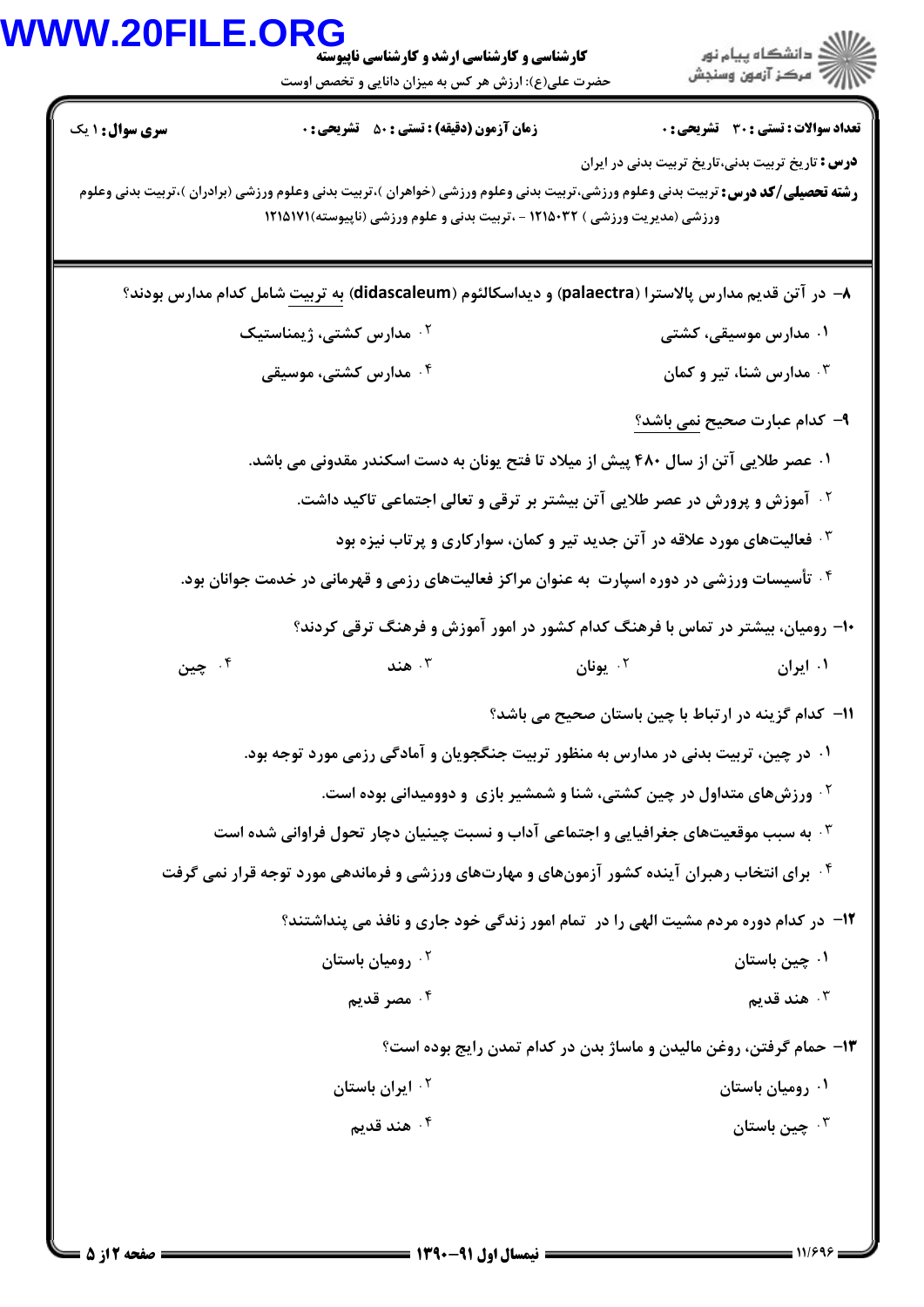## **WWW.20FILE.ORG**

**کارشناسی و کارشناسی ارشد و کارشناسی ناییوست** 

ے<br>اگ دانشگاہ پیام نور أأزار ً مركز آزمون وسنجش

حضرت علی(ع): ارزش هر کس به میزان دانایی و تخصص اوست **تعداد سوالات : تستی : 30 ٪ تشریحی : 0** <mark>سری سوال :</mark> ۱ یک **زمان آزمون (دقیقه) : تستی : 50 ٪ تشریحی: 0 درس :** تاریخ تربیت بدنی،تاریخ تربیت بدنی در ایران **رشته تحصیلی/کد درس:** تربیت بدنی وعلوم ورزشی،تربیت بدنی وعلوم ورزشی (خواهران )،تربیت بدنی وعلوم ورزشی (برادران )،تربیت بدنی وعلوم ورزشی (مدیریت ورزشی ) ۱۲۱۵۰۳۲ - ،تربیت بدنی و علوم ورزشی (ناپیوسته)۱۲۱۵۱۷۱ ۸– در آتن قدیم مدارس پالاسترا (palaectra) و دیداسکالئوم (didascaleum) به تربیت شامل کدام مدارس بودند؟ ۰۲ مدارس کشتے، <sub>ژ</sub>بمناستیک ۰۱ مدارس موسیقی، کشتے ۰۴ مدارس کشتی، موسیقی مدارس شنا، تیر و کمان  $\cdot$ ۹- کدام عبارت صحیح نمی باشد؟ ۰۱ عصر طلایی آتن از سال ۴۸۰ پیش از میلاد تا فتح یونان به دست اسکندر مقدونی می باشد. **1. آموزش و پرورش در عصر طلایی آتن بیشتر بر ترقی و تعالی اجتماعی تاکید داشت.** نا فعالیتهای مورد علاقه در آتن جدید تیر و کمان، سوارکاری و پرتاب نیزه بود  $\cdot$ <sup>۴ .</sup> تأسیسات ورزشی در دوره اسپارت به عنوان مراکز فعالیتهای رزمی و قهرمانی در خدمت جوانان بود. ۱۰− رومیان، بیشتر در تماس با فرهنگ کدام کشور در امور آموزش و فرهنگ ترقی کردند؟ ۰۴ چين هند  $\cdot$ ۰۲ بونان ۰۱ ایران 11- كدام گزينه در ارتباط با چين باستان صحيح مي باشد؟ ۰۱ در چین، تربیت بدنی در مدارس به منظور تربیت جنگجویان و آمادگی رزمی مورد توجه بود. <sup>۲</sup>۰ ورزشهای متداول در چین کشتی، شنا و شمشیر بازی ً و دوومیدانی بوده است. ۰۳ به سبب موقعیتهای جغرافیایی و اجتماعی آداب و نسبت چینیان دچار تحول فراوانی شده است <sup>۴</sup> . برای انتخاب رهبران آینده کشور آزمونهای و مهارتهای ورزشی و فرماندهی مورد توجه قرار نمی گرفت **۱۲**- در کدام دوره مردم مشیت الهی را در <sup>ت</sup>مام امور زندگی خود جاری و نافذ می پنداشتند؟ ۰<sup>۲</sup> رومیان باستان ۰۱ چېن پاستان ۰۴ مصر قديم هند قديم  $\cdot$ ۱۳- حمام گرفتن، روغن مالیدن و ماساژ بدن در کدام تمدن رایج بوده است؟ ۰<sup>۲</sup> ایران باستان ۰۱ رومیان باستان ۰۴ هند قديم جين باستان  $\cdot^{\mathsf{v}}$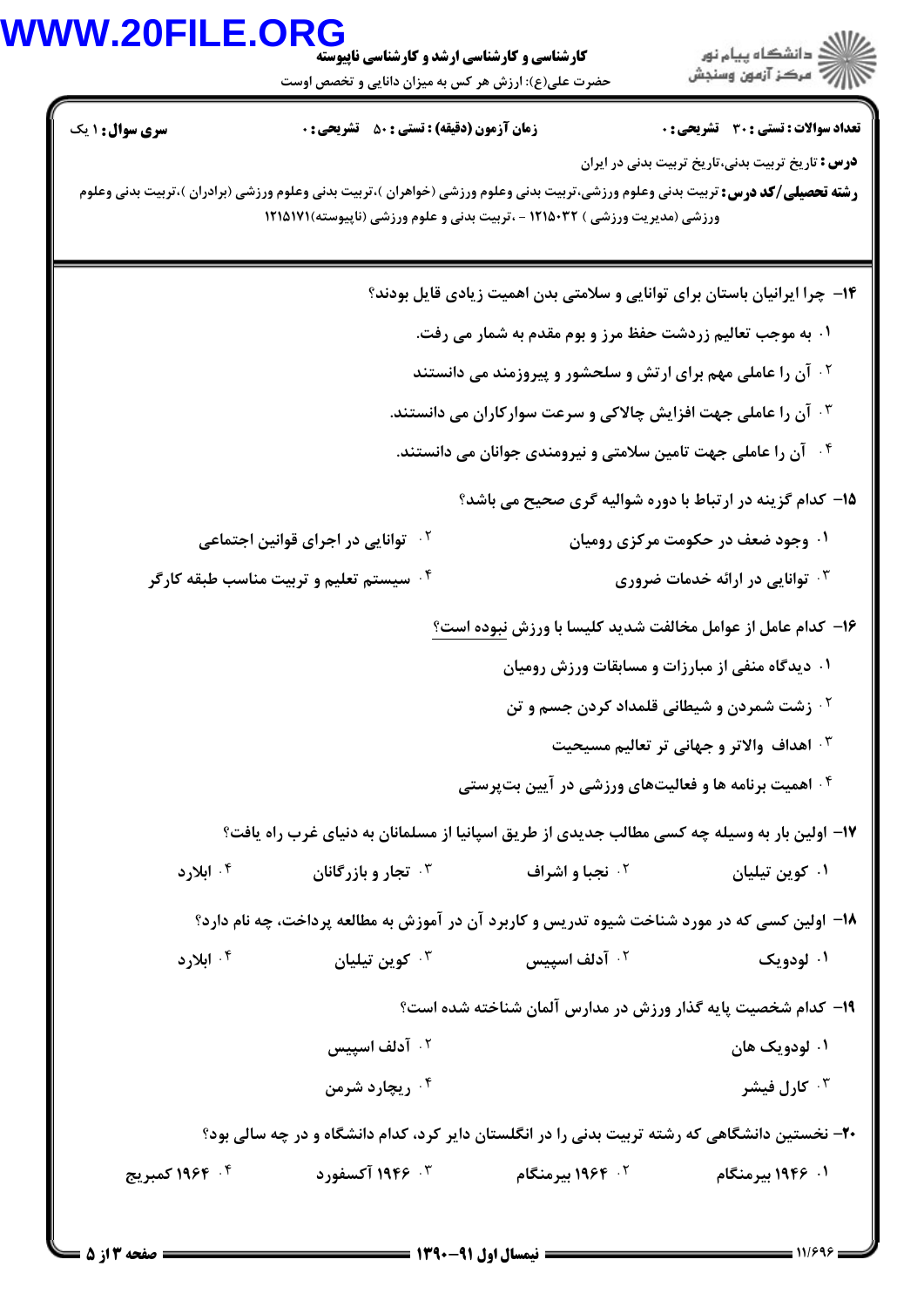# $\textbf{WWW.20FILE.ORG} \$ کارشناسی و کارشناسی ارشد و کارشناسی ناپیوسته

| 0FILE.OR                                                                 | <b>کارشناسی و کارشناسی ارشد و کارشناسی ناپیوسته</b><br>حضرت علی(ع): ارزش هر کس به میزان دانایی و تخصص اوست                                                                                                           |                             | ڪ دانشڪاه پيا <sub>م</sub> نور<br>ر <i>7</i> مرڪز آزمون وسنڊش             |  |  |  |
|--------------------------------------------------------------------------|----------------------------------------------------------------------------------------------------------------------------------------------------------------------------------------------------------------------|-----------------------------|---------------------------------------------------------------------------|--|--|--|
| <b>سری سوال :</b> ۱ یک                                                   | <b>زمان آزمون (دقیقه) : تستی : 50 ٪ تشریحی : 0</b>                                                                                                                                                                   |                             | <b>تعداد سوالات : تستی : 30 ٪ تشریحی : 0</b>                              |  |  |  |
|                                                                          | <b>رشته تحصیلی/کد درس:</b> تربیت بدنی وعلوم ورزشی،تربیت بدنی وعلوم ورزشی (خواهران )،تربیت بدنی وعلوم ورزشی (برادران )،تربیت بدنی وعلوم<br>ورزشی (مدیریت ورزشی ) ۱۲۱۵۰۳۲ - ،تربیت بدنی و علوم ورزشی (ناپیوسته)۱۲۱۵۱۷۱ |                             | <b>درس :</b> تاریخ تربیت بدنی،تاریخ تربیت بدنی در ایران                   |  |  |  |
|                                                                          |                                                                                                                                                                                                                      |                             | ۱۴– چرا ایرانیان باستان برای توانایی و سلامتی بدن اهمیت زیادی قایل بودند؟ |  |  |  |
|                                                                          | <b>۱. به موجب تعالیم زردشت حفظ مرز و بوم مقدم به شمار می رفت.</b>                                                                                                                                                    |                             |                                                                           |  |  |  |
| <sup>۲ .</sup> آن را عاملی مهم برای ارتش و سلحشور و پیروزمند می دانستند  |                                                                                                                                                                                                                      |                             |                                                                           |  |  |  |
|                                                                          | ۰۳ آن را عاملی جهت افزایش چالاکی و سرعت سوارکاران می دانستند.                                                                                                                                                        |                             |                                                                           |  |  |  |
| <sup>۰۴</sup> آن را عاملی جهت تامین سلامتی و نیرومندی جوانان می دانستند. |                                                                                                                                                                                                                      |                             |                                                                           |  |  |  |
|                                                                          |                                                                                                                                                                                                                      |                             | ۱۵- کدام گزینه در ارتباط با دوره شوالیه گری صحیح می باشد؟                 |  |  |  |
|                                                                          | <sup>۲</sup> ۰ توانایی در اجرای قوانین اجتماعی                                                                                                                                                                       |                             | ۰۱ وجود ضعف در حکومت مرکزی رومیان                                         |  |  |  |
|                                                                          | ۰۴ سیستم تعلیم و تربیت مناسب طبقه کارگر                                                                                                                                                                              |                             | توانایی در ارائه خدمات ضروری $\cdot$                                      |  |  |  |
|                                                                          |                                                                                                                                                                                                                      |                             | ۱۶- کدام عامل از عوامل مخالفت شدید کلیسا با ورزش <u>نبوده است؟</u>        |  |  |  |
|                                                                          |                                                                                                                                                                                                                      |                             | ۰۱ دیدگاه منفی از مبارزات و مسابقات ورزش رومیان                           |  |  |  |
|                                                                          |                                                                                                                                                                                                                      |                             | <sup>۰۲</sup> زشت شمردن و شیطانی قلمداد کردن جسم و تن                     |  |  |  |
|                                                                          | ۰۳ اهداف والاتر و جهانی تر تعالیم مسیحیت                                                                                                                                                                             |                             |                                                                           |  |  |  |
| <sup>۰۴</sup> اهمیت برنامه ها و فعالیتهای ورزشی در آیین بتپرستی          |                                                                                                                                                                                                                      |                             |                                                                           |  |  |  |
|                                                                          | ۱۷- اولین بار به وسیله چه کسی مطالب جدیدی از طریق اسپانیا از مسلمانان به دنیای غرب راه یافت؟                                                                                                                         |                             |                                                                           |  |  |  |
| ۰۴ ابلارد                                                                | ۰ <sup>۳</sup> تجار و بازرگانان                                                                                                                                                                                      | <b>10 نجبا و اشراف</b>      | ۰۱ کوین تیلیان                                                            |  |  |  |
|                                                                          | ۱۸- اولین کسی که در مورد شناخت شیوه تدریس و کاربرد آن در آموزش به مطالعه پرداخت، چه نام دارد؟                                                                                                                        |                             |                                                                           |  |  |  |
| ۰۴ ابلارد                                                                | كوين تيليان $\cdot^{\intercal}$                                                                                                                                                                                      | <b>۲. آدلف اسپیس</b>        | ۰۱ لودویک                                                                 |  |  |  |
|                                                                          |                                                                                                                                                                                                                      |                             | ۱۹- کدام شخصیت پایه گذار ورزش در مدارس آلمان شناخته شده است؟              |  |  |  |
|                                                                          | ۰ <sup>۲</sup> آدلف اسپیس                                                                                                                                                                                            |                             | ۰۱ لودویک هان                                                             |  |  |  |
|                                                                          | ۰ <sup>۴</sup> ریچارد شرمن                                                                                                                                                                                           |                             | ۰ <sup>۳</sup> کارل فیشر                                                  |  |  |  |
|                                                                          | ۲۰- نخستین دانشگاهی که رشته تربیت بدنی را در انگلستان دایر کرد، کدام دانشگاه و در چه سالی بود؟                                                                                                                       |                             |                                                                           |  |  |  |
| ۰۴ ۱۹۶۴ کمبریج                                                           | 9. 1946 آکسفورد                                                                                                                                                                                                      | <sup>۲.</sup> ۱۹۶۴ بیرمنگام | ۰۱ ۱۹۴۶ بیرمنگام                                                          |  |  |  |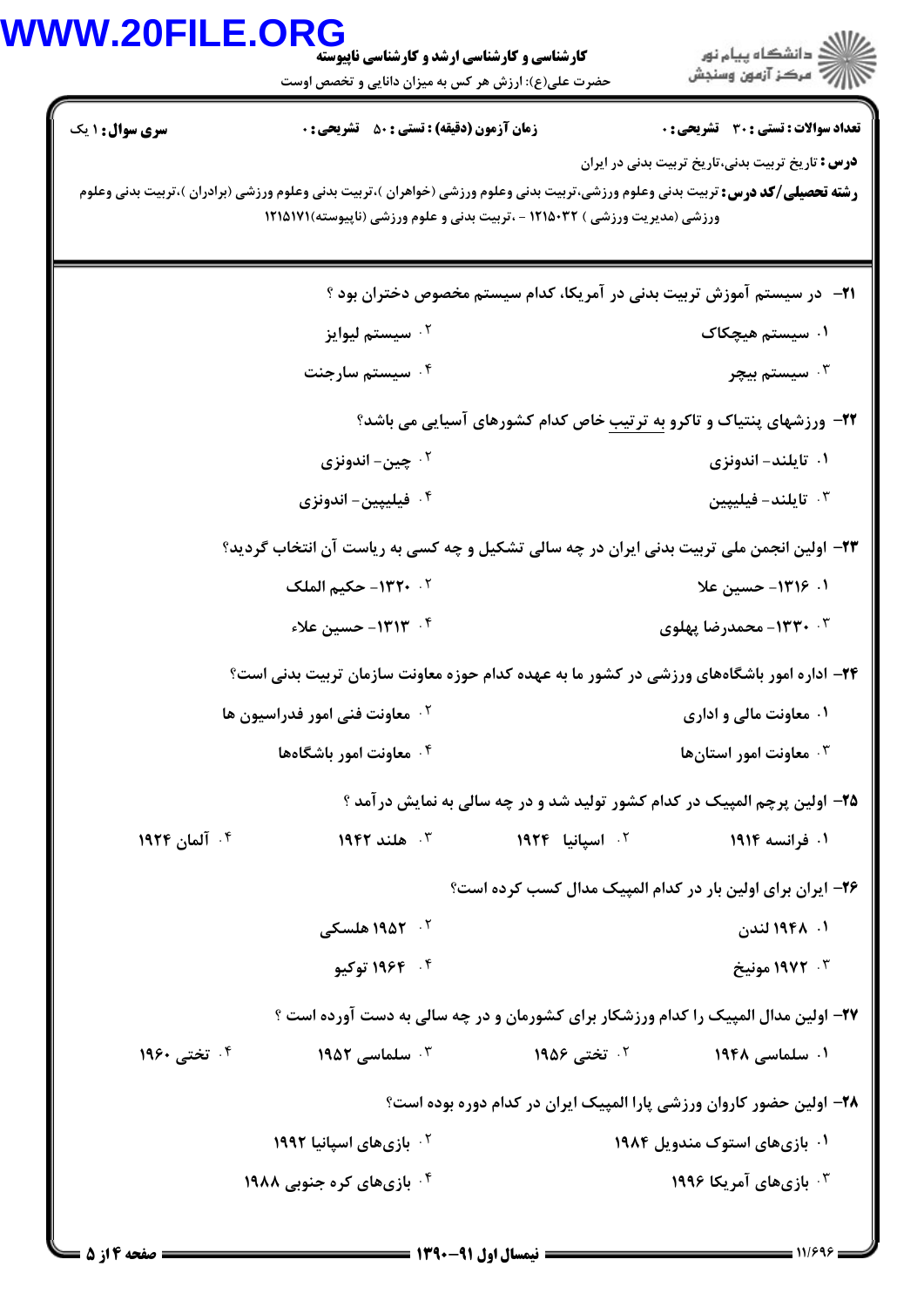## **WV**

| VW.20FILE.ORG                                                               | <b>کارشناسی و کارشناسی ارشد و کارشناسی ناپیوسته</b><br>حضرت علی(ع): ارزش هر کس به میزان دانایی و تخصص اوست                                                                                                           |                             | ڪ دانشڪاه پيام نور<br>ر∕⊂ مرڪز آزمون وسنڊش                                         |  |
|-----------------------------------------------------------------------------|----------------------------------------------------------------------------------------------------------------------------------------------------------------------------------------------------------------------|-----------------------------|------------------------------------------------------------------------------------|--|
| <b>سری سوال : ۱ یک</b>                                                      | <b>زمان آزمون (دقیقه) : تستی : 50 ٪ تشریحی : 0</b>                                                                                                                                                                   |                             | <b>تعداد سوالات : تستی : 30 ٪ تشریحی : 0</b>                                       |  |
|                                                                             | <b>رشته تحصیلی/کد درس:</b> تربیت بدنی وعلوم ورزشی،تربیت بدنی وعلوم ورزشی (خواهران )،تربیت بدنی وعلوم ورزشی (برادران )،تربیت بدنی وعلوم<br>ورزشی (مدیریت ورزشی ) ۱۲۱۵۰۳۲ - ،تربیت بدنی و علوم ورزشی (ناپیوسته)۱۲۱۵۱۷۱ |                             | <b>درس :</b> تاریخ تربیت بدنی،تاریخ تربیت بدنی در ایران                            |  |
|                                                                             |                                                                                                                                                                                                                      |                             | <b>۲۱</b> - در سیستم آموزش تربیت بدنی در آمریکا، کدام سیستم مخصوص دختران بود ؟     |  |
|                                                                             | ۰ <sup>۲</sup> سیستم لیوایز                                                                                                                                                                                          |                             | ۰۱ سیستم هیچکاک                                                                    |  |
|                                                                             | ۰۴ سیستم سارجنت                                                                                                                                                                                                      |                             | ۰ <sup>۳</sup> سیستم بیچر                                                          |  |
| <b>۲۲-</b> ورزشهای پنتیاک و تاکرو به ترتیب خاص کدام کشورهای آسیایی می باشد؟ |                                                                                                                                                                                                                      |                             |                                                                                    |  |
|                                                                             | ۰ <sup>۲</sup> چین- اندونزی                                                                                                                                                                                          |                             | ۰۱ تايلند- اندونزي                                                                 |  |
|                                                                             | ۰ <sup>۴</sup> فیلیپین- اندونزی                                                                                                                                                                                      |                             | تايلند– فيليپين $\cdot$ "                                                          |  |
|                                                                             | ۲۳- اولین انجمن ملی تربیت بدنی ایران در چه سالی تشکیل و چه کسی به ریاست آن انتخاب گردید؟                                                                                                                             |                             |                                                                                    |  |
|                                                                             | ۰۲ - ۱۳۲۰– حکیم الملک                                                                                                                                                                                                |                             | ۰۱ ۱۳۱۶– حسین علا                                                                  |  |
|                                                                             | ۰۴ - ۱۳۱۳– حسین علاء                                                                                                                                                                                                 |                             | ۰۳ - ۱۳۳۰- محمدرضا پهلوی                                                           |  |
|                                                                             | <b>۳۴</b> – اداره امور باشگاههای ورزشی در کشور ما به عهده کدام حوزه معاونت سازمان تربیت بدنی است؟                                                                                                                    |                             |                                                                                    |  |
|                                                                             | ۰ <sup>۲</sup> معاونت فنی امور فدراسیون ها                                                                                                                                                                           |                             | ۰۱ معاونت مالي و اداري                                                             |  |
|                                                                             | ۰۴ معاونت امور باشگاهها                                                                                                                                                                                              |                             | معاونت امور استانها $\cdot^{\mathsf{\texttt{v}}}$                                  |  |
|                                                                             |                                                                                                                                                                                                                      |                             | ۲۵- اولین پرچم المپیک در کدام کشور تولید شد و در چه سالی به نمایش درآمد ؟          |  |
| ۰۴ آلمان ۱۹۲۴                                                               | 1942 هلند ۱۹۴۲ $\cdot$                                                                                                                                                                                               | ۰ <sup>۲</sup> اسپانیا ۱۹۲۴ | ۰۱ فرانسه ۱۹۱۴                                                                     |  |
|                                                                             |                                                                                                                                                                                                                      |                             | ۲۶- ایران برای اولین بار در کدام المپیک مدال کسب کرده است؟                         |  |
|                                                                             | <sup>۲.</sup> ۱۹۵۲ هلسکی                                                                                                                                                                                             |                             | ۰۱. ۱۹۴۸ لندن                                                                      |  |
|                                                                             | ۰۴ - ۱۹۶۴ توکیو                                                                                                                                                                                                      |                             | ۰۳ - ۱۹۷۲ مونیخ                                                                    |  |
|                                                                             |                                                                                                                                                                                                                      |                             | ۲۷- اولین مدال المپیک را کدام ورزشکار برای کشورمان و در چه سالی به دست آورده است ؟ |  |
| ۰۴ تختی ۱۹۶۰                                                                | ۰ <sup>۳</sup> سلماسی ۱۹۵۲                                                                                                                                                                                           | <b>۱۹۵۶ تختی ۱۹۵۶</b>       | ۰۱ سلماسی ۱۹۴۸                                                                     |  |
|                                                                             |                                                                                                                                                                                                                      |                             | ۲۸- اولین حضور کاروان ورزشی پارا المپیک ایران در کدام دوره بوده است؟               |  |
|                                                                             | <sup>۲</sup> ۰ بازیهای اسپانیا ۱۹۹۲                                                                                                                                                                                  |                             | ۰۱ بازیهای استوک مندویل ۱۹۸۴                                                       |  |
|                                                                             | ۰۴ بازیهای کره جنوبی ۱۹۸۸                                                                                                                                                                                            |                             | ۰۳ بازیهای آمریکا ۱۹۹۶                                                             |  |
|                                                                             |                                                                                                                                                                                                                      |                             |                                                                                    |  |